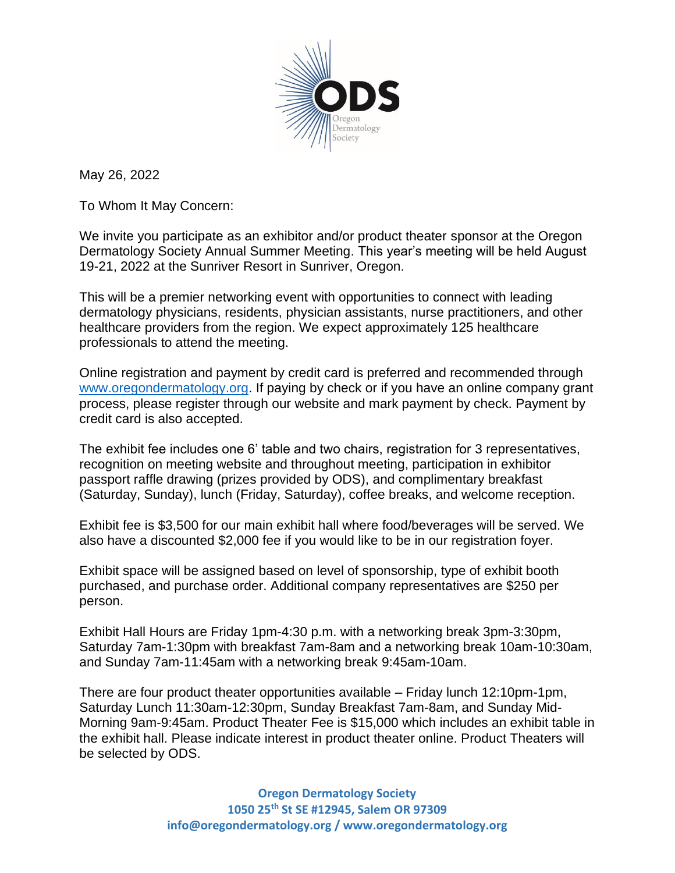

May 26, 2022

To Whom It May Concern:

We invite you participate as an exhibitor and/or product theater sponsor at the Oregon Dermatology Society Annual Summer Meeting. This year's meeting will be held August 19-21, 2022 at the Sunriver Resort in Sunriver, Oregon.

This will be a premier networking event with opportunities to connect with leading dermatology physicians, residents, physician assistants, nurse practitioners, and other healthcare providers from the region. We expect approximately 125 healthcare professionals to attend the meeting.

Online registration and payment by credit card is preferred and recommended through [www.oregondermatology.org.](http://www.oregondermatology.org/) If paying by check or if you have an online company grant process, please register through our website and mark payment by check. Payment by credit card is also accepted.

The exhibit fee includes one 6' table and two chairs, registration for 3 representatives, recognition on meeting website and throughout meeting, participation in exhibitor passport raffle drawing (prizes provided by ODS), and complimentary breakfast (Saturday, Sunday), lunch (Friday, Saturday), coffee breaks, and welcome reception.

Exhibit fee is \$3,500 for our main exhibit hall where food/beverages will be served. We also have a discounted \$2,000 fee if you would like to be in our registration foyer.

Exhibit space will be assigned based on level of sponsorship, type of exhibit booth purchased, and purchase order. Additional company representatives are \$250 per person.

Exhibit Hall Hours are Friday 1pm-4:30 p.m. with a networking break 3pm-3:30pm, Saturday 7am-1:30pm with breakfast 7am-8am and a networking break 10am-10:30am, and Sunday 7am-11:45am with a networking break 9:45am-10am.

There are four product theater opportunities available – Friday lunch 12:10pm-1pm, Saturday Lunch 11:30am-12:30pm, Sunday Breakfast 7am-8am, and Sunday Mid-Morning 9am-9:45am. Product Theater Fee is \$15,000 which includes an exhibit table in the exhibit hall. Please indicate interest in product theater online. Product Theaters will be selected by ODS.